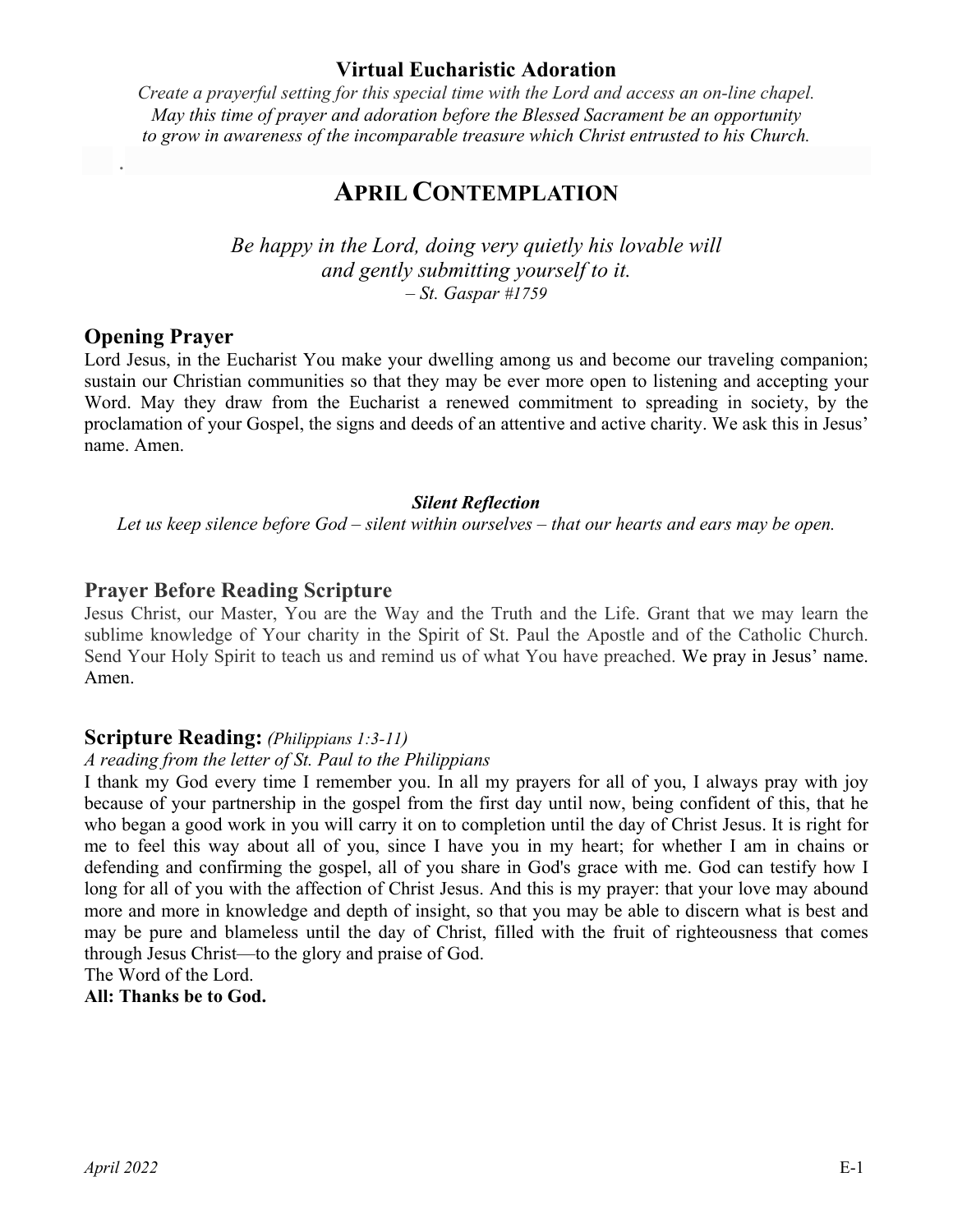## **Virtual Eucharistic Adoration**

*Create a prayerful setting for this special time with the Lord and access an on-line chapel. May this time of prayer and adoration before the Blessed Sacrament be an opportunity to grow in awareness of the incomparable treasure which Christ entrusted to his Church.*

# **APRIL CONTEMPLATION**

*Be happy in the Lord, doing very quietly his lovable will and gently submitting yourself to it. – St. Gaspar #1759*

#### **Opening Prayer**

.

Lord Jesus, in the Eucharist You make your dwelling among us and become our traveling companion; sustain our Christian communities so that they may be ever more open to listening and accepting your Word. May they draw from the Eucharist a renewed commitment to spreading in society, by the proclamation of your Gospel, the signs and deeds of an attentive and active charity. We ask this in Jesus' name. Amen.

#### *Silent Reflection*

*Let us keep silence before God – silent within ourselves – that our hearts and ears may be open.*

#### **Prayer Before Reading Scripture**

Jesus Christ, our Master, You are the Way and the Truth and the Life. Grant that we may learn the sublime knowledge of Your charity in the Spirit of St. Paul the Apostle and of the Catholic Church. Send Your Holy Spirit to teach us and remind us of what You have preached. We pray in Jesus' name. Amen.

#### **Scripture Reading:** *(Philippians 1:3-11)*

#### *A reading from the letter of St. Paul to the Philippians*

I thank my God every time I remember you. In all my prayers for all of you, I always pray with joy because of your partnership in the gospel from the first day until now, being confident of this, that he who began a good work in you will carry it on to completion until the day of Christ Jesus. It is right for me to feel this way about all of you, since I have you in my heart; for whether I am in chains or defending and confirming the gospel, all of you share in God's grace with me. God can testify how I long for all of you with the affection of Christ Jesus. And this is my prayer: that your love may abound more and more in knowledge and depth of insight, so that you may be able to discern what is best and may be pure and blameless until the day of Christ, filled with the fruit of righteousness that comes through Jesus Christ—to the glory and praise of God.

The Word of the Lord.

**All: Thanks be to God.**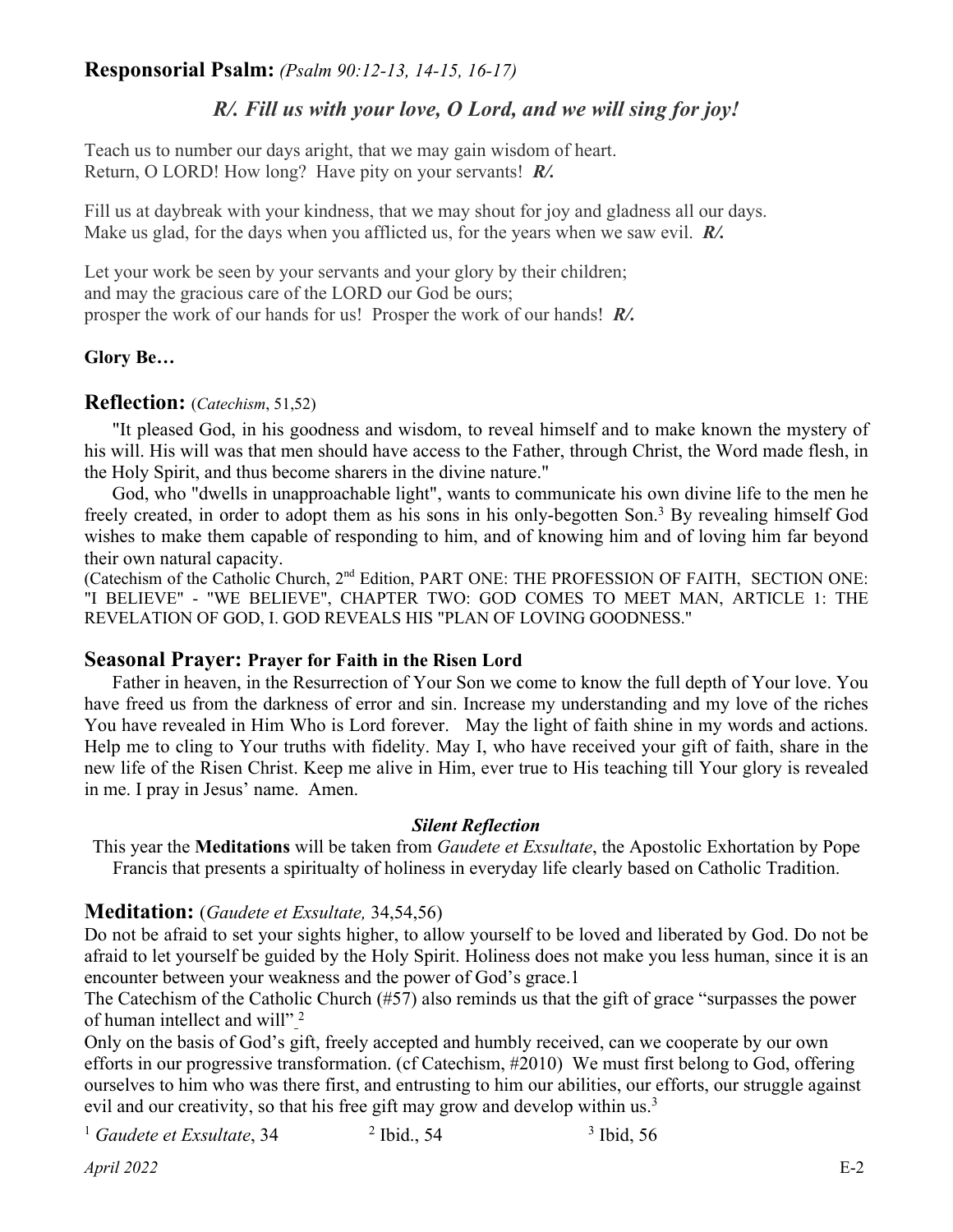# **Responsorial Psalm:** *(Psalm 90:12-13, 14-15, 16-17)*

# *R/. Fill us with your love, O Lord, and we will sing for joy!*

Teach us to number our days aright, that we may gain wisdom of heart. Return, O LORD! How long? Have pity on your servants! *R/.*

Fill us at daybreak with your kindness, that we may shout for joy and gladness all our days. Make us glad, for the days when you afflicted us, for the years when we saw evil. *R/.*

Let your work be seen by your servants and your glory by their children; and may the gracious care of the LORD our God be ours; prosper the work of our hands for us! Prosper the work of our hands! *R/.*

# **Glory Be…**

# **Reflection:** (*Catechism*, 51,52)

"It pleased God, in his goodness and wisdom, to reveal himself and to make known the mystery of his will. His will was that men should have access to the Father, through Christ, the Word made flesh, in the Holy Spirit, and thus become sharers in the divine nature."

God, who "dwells in unapproachable light", wants to communicate his own divine life to the men he freely created, in order to adopt them as his sons in his only-begotten Son.3 By revealing himself God wishes to make them capable of responding to him, and of knowing him and of loving him far beyond their own natural capacity.

(Catechism of the Catholic Church, 2nd Edition, PART ONE: THE PROFESSION OF FAITH, SECTION ONE: "I BELIEVE" - "WE BELIEVE", CHAPTER TWO: GOD COMES TO MEET MAN, ARTICLE 1: THE REVELATION OF GOD, I. GOD REVEALS HIS "PLAN OF LOVING GOODNESS."

## **Seasonal Prayer: Prayer for Faith in the Risen Lord**

Father in heaven, in the Resurrection of Your Son we come to know the full depth of Your love. You have freed us from the darkness of error and sin. Increase my understanding and my love of the riches You have revealed in Him Who is Lord forever. May the light of faith shine in my words and actions. Help me to cling to Your truths with fidelity. May I, who have received your gift of faith, share in the new life of the Risen Christ. Keep me alive in Him, ever true to His teaching till Your glory is revealed in me. I pray in Jesus' name. Amen.

## *Silent Reflection*

This year the **Meditations** will be taken from *Gaudete et Exsultate*, the Apostolic Exhortation by Pope Francis that presents a spiritualty of holiness in everyday life clearly based on Catholic Tradition.

## **Meditation:** (*Gaudete et Exsultate,* 34,54,56)

Do not be afraid to set your sights higher, to allow yourself to be loved and liberated by God. Do not be afraid to let yourself be guided by the Holy Spirit. Holiness does not make you less human, since it is an encounter between your weakness and the power of God's grace.1

The Catechism of the Catholic Church (#57) also reminds us that the gift of grace "surpasses the power of human intellect and will"<sup>2</sup>

Only on the basis of God's gift, freely accepted and humbly received, can we cooperate by our own efforts in our progressive transformation. (cf Catechism, #2010) We must first belong to God, offering ourselves to him who was there first, and entrusting to him our abilities, our efforts, our struggle against evil and our creativity, so that his free gift may grow and develop within us.<sup>3</sup>

```
<sup>1</sup> Gaudete et Exsultate, 34<sup>2</sup> Ibid., 54<sup>3</sup> Ibid, 56
```